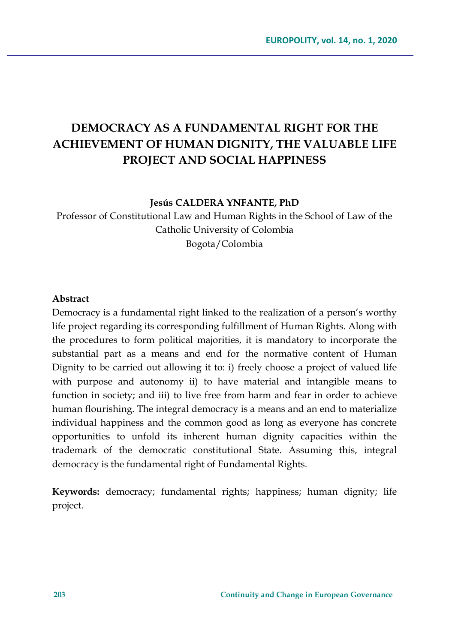# **DEMOCRACY AS A FUNDAMENTAL RIGHT FOR THE ACHIEVEMENT OF HUMAN DIGNITY, THE VALUABLE LIFE PROJECT AND SOCIAL HAPPINESS**

#### **Jesús CALDERA YNFANTE, PhD**

Professor of Constitutional Law and Human Rights in the School of Law of the Catholic University of Colombia Bogota/Colombia

### **Abstract**

Democracy is a fundamental right linked to the realization of a person's worthy life project regarding its corresponding fulfillment of Human Rights. Along with the procedures to form political majorities, it is mandatory to incorporate the substantial part as a means and end for the normative content of Human Dignity to be carried out allowing it to: i) freely choose a project of valued life with purpose and autonomy ii) to have material and intangible means to function in society; and iii) to live free from harm and fear in order to achieve human flourishing. The integral democracy is a means and an end to materialize individual happiness and the common good as long as everyone has concrete opportunities to unfold its inherent human dignity capacities within the trademark of the democratic constitutional State. Assuming this, integral democracy is the fundamental right of Fundamental Rights.

**Keywords:** democracy; fundamental rights; happiness; human dignity; life project.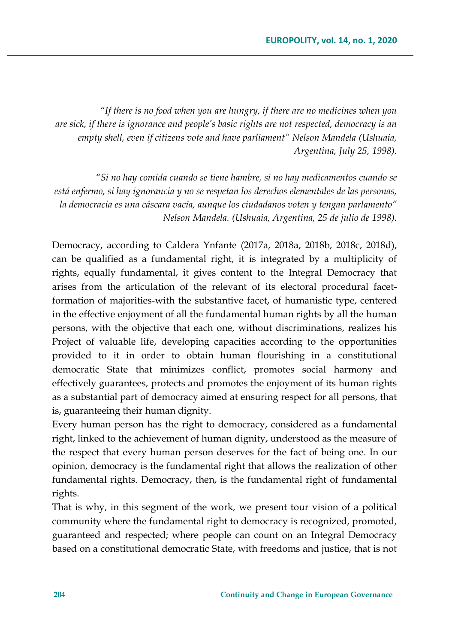*"If there is no food when you are hungry, if there are no medicines when you are sick, if there is ignorance and people's basic rights are not respected, democracy is an empty shell, even if citizens vote and have parliament" Nelson Mandela (Ushuaia, Argentina, July 25, 1998).*

*"Si no hay comida cuando se tiene hambre, si no hay medicamentos cuando se está enfermo, si hay ignorancia y no se respetan los derechos elementales de las personas, la democracia es una cáscara vacía, aunque los ciudadanos voten y tengan parlamento" Nelson Mandela. (Ushuaia, Argentina, 25 de julio de 1998).* 

Democracy, according to Caldera Ynfante (2017a, 2018a, 2018b, 2018c, 2018d), can be qualified as a fundamental right, it is integrated by a multiplicity of rights, equally fundamental, it gives content to the Integral Democracy that arises from the articulation of the relevant of its electoral procedural facetformation of majorities-with the substantive facet, of humanistic type, centered in the effective enjoyment of all the fundamental human rights by all the human persons, with the objective that each one, without discriminations, realizes his Project of valuable life, developing capacities according to the opportunities provided to it in order to obtain human flourishing in a constitutional democratic State that minimizes conflict, promotes social harmony and effectively guarantees, protects and promotes the enjoyment of its human rights as a substantial part of democracy aimed at ensuring respect for all persons, that is, guaranteeing their human dignity.

Every human person has the right to democracy, considered as a fundamental right, linked to the achievement of human dignity, understood as the measure of the respect that every human person deserves for the fact of being one. In our opinion, democracy is the fundamental right that allows the realization of other fundamental rights. Democracy, then, is the fundamental right of fundamental rights.

That is why, in this segment of the work, we present tour vision of a political community where the fundamental right to democracy is recognized, promoted, guaranteed and respected; where people can count on an Integral Democracy based on a constitutional democratic State, with freedoms and justice, that is not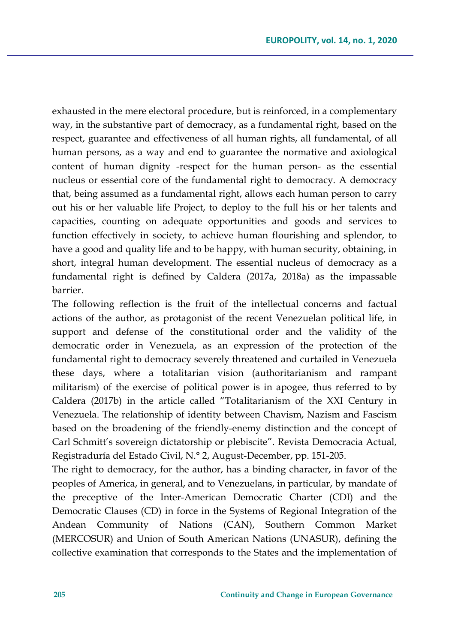exhausted in the mere electoral procedure, but is reinforced, in a complementary way, in the substantive part of democracy, as a fundamental right, based on the respect, guarantee and effectiveness of all human rights, all fundamental, of all human persons, as a way and end to guarantee the normative and axiological content of human dignity -respect for the human person- as the essential nucleus or essential core of the fundamental right to democracy. A democracy that, being assumed as a fundamental right, allows each human person to carry out his or her valuable life Project, to deploy to the full his or her talents and capacities, counting on adequate opportunities and goods and services to function effectively in society, to achieve human flourishing and splendor, to have a good and quality life and to be happy, with human security, obtaining, in short, integral human development. The essential nucleus of democracy as a fundamental right is defined by Caldera (2017a, 2018a) as the impassable barrier.

The following reflection is the fruit of the intellectual concerns and factual actions of the author, as protagonist of the recent Venezuelan political life, in support and defense of the constitutional order and the validity of the democratic order in Venezuela, as an expression of the protection of the fundamental right to democracy severely threatened and curtailed in Venezuela these days, where a totalitarian vision (authoritarianism and rampant militarism) of the exercise of political power is in apogee, thus referred to by Caldera (2017b) in the article called "Totalitarianism of the XXI Century in Venezuela. The relationship of identity between Chavism, Nazism and Fascism based on the broadening of the friendly-enemy distinction and the concept of Carl Schmitt's sovereign dictatorship or plebiscite". Revista Democracia Actual, Registraduría del Estado Civil, N.° 2, August-December, pp. 151-205.

The right to democracy, for the author, has a binding character, in favor of the peoples of America, in general, and to Venezuelans, in particular, by mandate of the preceptive of the Inter-American Democratic Charter (CDI) and the Democratic Clauses (CD) in force in the Systems of Regional Integration of the Andean Community of Nations (CAN), Southern Common Market (MERCOSUR) and Union of South American Nations (UNASUR), defining the collective examination that corresponds to the States and the implementation of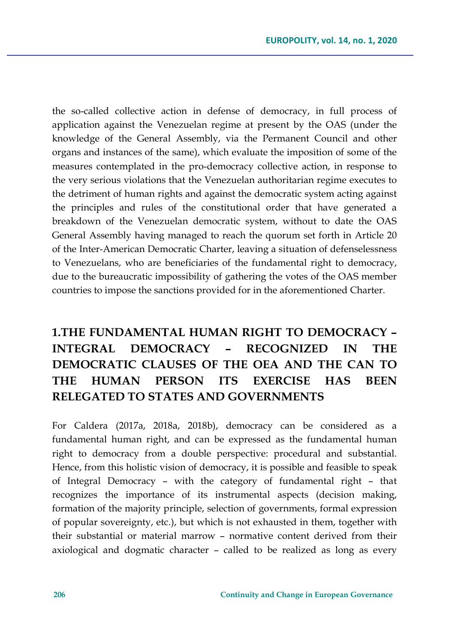the so-called collective action in defense of democracy, in full process of application against the Venezuelan regime at present by the OAS (under the knowledge of the General Assembly, via the Permanent Council and other organs and instances of the same), which evaluate the imposition of some of the measures contemplated in the pro-democracy collective action, in response to the very serious violations that the Venezuelan authoritarian regime executes to the detriment of human rights and against the democratic system acting against the principles and rules of the constitutional order that have generated a breakdown of the Venezuelan democratic system, without to date the OAS General Assembly having managed to reach the quorum set forth in Article 20 of the Inter-American Democratic Charter, leaving a situation of defenselessness to Venezuelans, who are beneficiaries of the fundamental right to democracy, due to the bureaucratic impossibility of gathering the votes of the OAS member countries to impose the sanctions provided for in the aforementioned Charter.

# **1.THE FUNDAMENTAL HUMAN RIGHT TO DEMOCRACY – INTEGRAL DEMOCRACY – RECOGNIZED IN THE DEMOCRATIC CLAUSES OF THE OEA AND THE CAN TO THE HUMAN PERSON ITS EXERCISE HAS BEEN RELEGATED TO STATES AND GOVERNMENTS**

For Caldera (2017a, 2018a, 2018b), democracy can be considered as a fundamental human right, and can be expressed as the fundamental human right to democracy from a double perspective: procedural and substantial. Hence, from this holistic vision of democracy, it is possible and feasible to speak of Integral Democracy – with the category of fundamental right – that recognizes the importance of its instrumental aspects (decision making, formation of the majority principle, selection of governments, formal expression of popular sovereignty, etc.), but which is not exhausted in them, together with their substantial or material marrow – normative content derived from their axiological and dogmatic character – called to be realized as long as every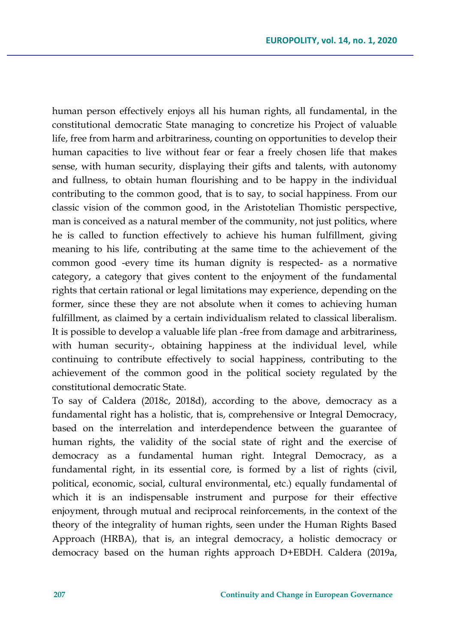human person effectively enjoys all his human rights, all fundamental, in the constitutional democratic State managing to concretize his Project of valuable life, free from harm and arbitrariness, counting on opportunities to develop their human capacities to live without fear or fear a freely chosen life that makes sense, with human security, displaying their gifts and talents, with autonomy and fullness, to obtain human flourishing and to be happy in the individual contributing to the common good, that is to say, to social happiness. From our classic vision of the common good, in the Aristotelian Thomistic perspective, man is conceived as a natural member of the community, not just politics, where he is called to function effectively to achieve his human fulfillment, giving meaning to his life, contributing at the same time to the achievement of the common good -every time its human dignity is respected- as a normative category, a category that gives content to the enjoyment of the fundamental rights that certain rational or legal limitations may experience, depending on the former, since these they are not absolute when it comes to achieving human fulfillment, as claimed by a certain individualism related to classical liberalism. It is possible to develop a valuable life plan -free from damage and arbitrariness, with human security-, obtaining happiness at the individual level, while continuing to contribute effectively to social happiness, contributing to the achievement of the common good in the political society regulated by the constitutional democratic State.

To say of Caldera (2018c, 2018d), according to the above, democracy as a fundamental right has a holistic, that is, comprehensive or Integral Democracy, based on the interrelation and interdependence between the guarantee of human rights, the validity of the social state of right and the exercise of democracy as a fundamental human right. Integral Democracy, as a fundamental right, in its essential core, is formed by a list of rights (civil, political, economic, social, cultural environmental, etc.) equally fundamental of which it is an indispensable instrument and purpose for their effective enjoyment, through mutual and reciprocal reinforcements, in the context of the theory of the integrality of human rights, seen under the Human Rights Based Approach (HRBA), that is, an integral democracy, a holistic democracy or democracy based on the human rights approach D+EBDH. Caldera (2019a,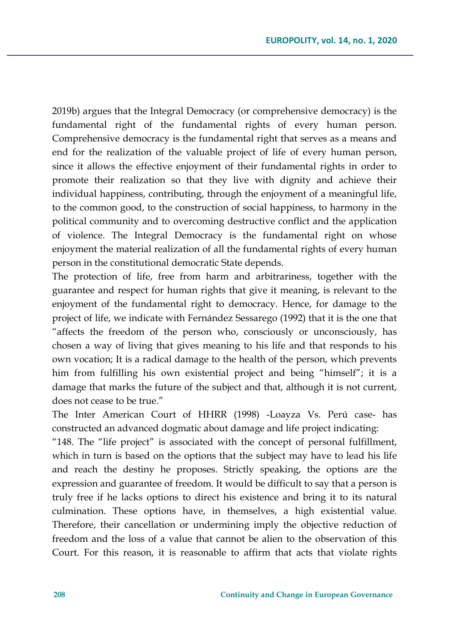2019b) argues that the Integral Democracy (or comprehensive democracy) is the fundamental right of the fundamental rights of every human person. Comprehensive democracy is the fundamental right that serves as a means and end for the realization of the valuable project of life of every human person, since it allows the effective enjoyment of their fundamental rights in order to promote their realization so that they live with dignity and achieve their individual happiness, contributing, through the enjoyment of a meaningful life, to the common good, to the construction of social happiness, to harmony in the political community and to overcoming destructive conflict and the application of violence. The Integral Democracy is the fundamental right on whose enjoyment the material realization of all the fundamental rights of every human person in the constitutional democratic State depends.

The protection of life, free from harm and arbitrariness, together with the guarantee and respect for human rights that give it meaning, is relevant to the enjoyment of the fundamental right to democracy. Hence, for damage to the project of life, we indicate with Fernández Sessarego (1992) that it is the one that "affects the freedom of the person who, consciously or unconsciously, has chosen a way of living that gives meaning to his life and that responds to his own vocation; It is a radical damage to the health of the person, which prevents him from fulfilling his own existential project and being "himself"; it is a damage that marks the future of the subject and that, although it is not current, does not cease to be true."

The Inter American Court of HHRR (1998) -Loayza Vs. Perú case- has constructed an advanced dogmatic about damage and life project indicating:

"148. The "life project" is associated with the concept of personal fulfillment, which in turn is based on the options that the subject may have to lead his life and reach the destiny he proposes. Strictly speaking, the options are the expression and guarantee of freedom. It would be difficult to say that a person is truly free if he lacks options to direct his existence and bring it to its natural culmination. These options have, in themselves, a high existential value. Therefore, their cancellation or undermining imply the objective reduction of freedom and the loss of a value that cannot be alien to the observation of this Court. For this reason, it is reasonable to affirm that acts that violate rights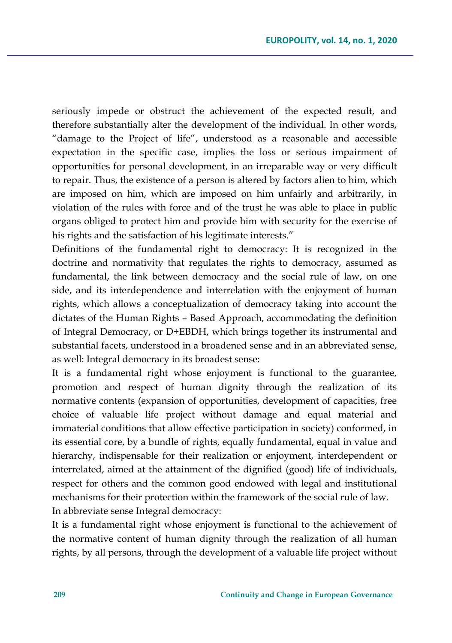seriously impede or obstruct the achievement of the expected result, and therefore substantially alter the development of the individual. In other words, "damage to the Project of life", understood as a reasonable and accessible expectation in the specific case, implies the loss or serious impairment of opportunities for personal development, in an irreparable way or very difficult to repair. Thus, the existence of a person is altered by factors alien to him, which are imposed on him, which are imposed on him unfairly and arbitrarily, in violation of the rules with force and of the trust he was able to place in public organs obliged to protect him and provide him with security for the exercise of his rights and the satisfaction of his legitimate interests."

Definitions of the fundamental right to democracy: It is recognized in the doctrine and normativity that regulates the rights to democracy, assumed as fundamental, the link between democracy and the social rule of law, on one side, and its interdependence and interrelation with the enjoyment of human rights, which allows a conceptualization of democracy taking into account the dictates of the Human Rights – Based Approach, accommodating the definition of Integral Democracy, or D+EBDH, which brings together its instrumental and substantial facets, understood in a broadened sense and in an abbreviated sense, as well: Integral democracy in its broadest sense:

It is a fundamental right whose enjoyment is functional to the guarantee, promotion and respect of human dignity through the realization of its normative contents (expansion of opportunities, development of capacities, free choice of valuable life project without damage and equal material and immaterial conditions that allow effective participation in society) conformed, in its essential core, by a bundle of rights, equally fundamental, equal in value and hierarchy, indispensable for their realization or enjoyment, interdependent or interrelated, aimed at the attainment of the dignified (good) life of individuals, respect for others and the common good endowed with legal and institutional mechanisms for their protection within the framework of the social rule of law. In abbreviate sense Integral democracy:

It is a fundamental right whose enjoyment is functional to the achievement of the normative content of human dignity through the realization of all human rights, by all persons, through the development of a valuable life project without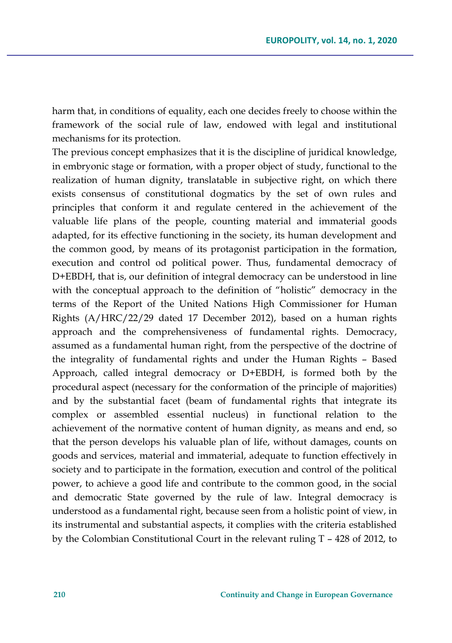harm that, in conditions of equality, each one decides freely to choose within the framework of the social rule of law, endowed with legal and institutional mechanisms for its protection.

The previous concept emphasizes that it is the discipline of juridical knowledge, in embryonic stage or formation, with a proper object of study, functional to the realization of human dignity, translatable in subjective right, on which there exists consensus of constitutional dogmatics by the set of own rules and principles that conform it and regulate centered in the achievement of the valuable life plans of the people, counting material and immaterial goods adapted, for its effective functioning in the society, its human development and the common good, by means of its protagonist participation in the formation, execution and control od political power. Thus, fundamental democracy of D+EBDH, that is, our definition of integral democracy can be understood in line with the conceptual approach to the definition of "holistic" democracy in the terms of the Report of the United Nations High Commissioner for Human Rights (A/HRC/22/29 dated 17 December 2012), based on a human rights approach and the comprehensiveness of fundamental rights. Democracy, assumed as a fundamental human right, from the perspective of the doctrine of the integrality of fundamental rights and under the Human Rights – Based Approach, called integral democracy or D+EBDH, is formed both by the procedural aspect (necessary for the conformation of the principle of majorities) and by the substantial facet (beam of fundamental rights that integrate its complex or assembled essential nucleus) in functional relation to the achievement of the normative content of human dignity, as means and end, so that the person develops his valuable plan of life, without damages, counts on goods and services, material and immaterial, adequate to function effectively in society and to participate in the formation, execution and control of the political power, to achieve a good life and contribute to the common good, in the social and democratic State governed by the rule of law. Integral democracy is understood as a fundamental right, because seen from a holistic point of view, in its instrumental and substantial aspects, it complies with the criteria established by the Colombian Constitutional Court in the relevant ruling T – 428 of 2012, to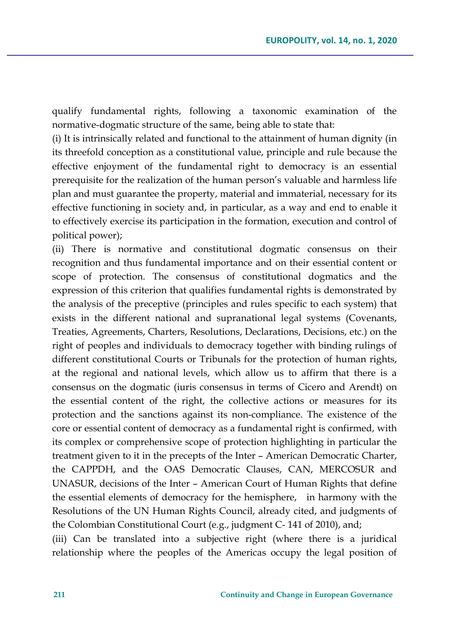qualify fundamental rights, following a taxonomic examination of the normative-dogmatic structure of the same, being able to state that:

(i) It is intrinsically related and functional to the attainment of human dignity (in its threefold conception as a constitutional value, principle and rule because the effective enjoyment of the fundamental right to democracy is an essential prerequisite for the realization of the human person's valuable and harmless life plan and must guarantee the property, material and immaterial, necessary for its effective functioning in society and, in particular, as a way and end to enable it to effectively exercise its participation in the formation, execution and control of political power);

(ii) There is normative and constitutional dogmatic consensus on their recognition and thus fundamental importance and on their essential content or scope of protection. The consensus of constitutional dogmatics and the expression of this criterion that qualifies fundamental rights is demonstrated by the analysis of the preceptive (principles and rules specific to each system) that exists in the different national and supranational legal systems (Covenants, Treaties, Agreements, Charters, Resolutions, Declarations, Decisions, etc.) on the right of peoples and individuals to democracy together with binding rulings of different constitutional Courts or Tribunals for the protection of human rights, at the regional and national levels, which allow us to affirm that there is a consensus on the dogmatic (iuris consensus in terms of Cicero and Arendt) on the essential content of the right, the collective actions or measures for its protection and the sanctions against its non-compliance. The existence of the core or essential content of democracy as a fundamental right is confirmed, with its complex or comprehensive scope of protection highlighting in particular the treatment given to it in the precepts of the Inter – American Democratic Charter, the CAPPDH, and the OAS Democratic Clauses, CAN, MERCOSUR and UNASUR, decisions of the Inter – American Court of Human Rights that define the essential elements of democracy for the hemisphere, in harmony with the Resolutions of the UN Human Rights Council, already cited, and judgments of the Colombian Constitutional Court (e.g., judgment C- 141 of 2010), and;

(iii) Can be translated into a subjective right (where there is a juridical relationship where the peoples of the Americas occupy the legal position of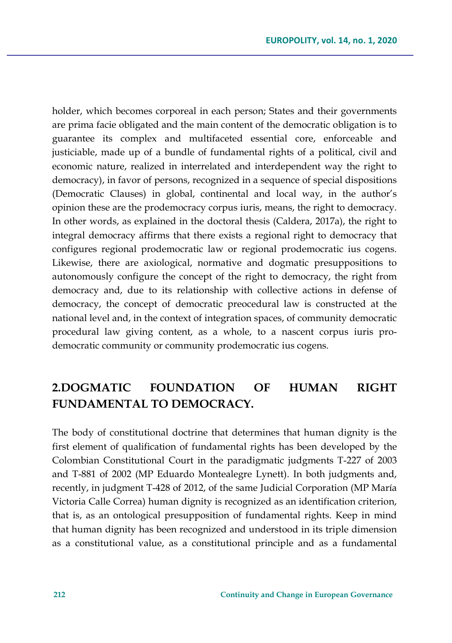holder, which becomes corporeal in each person; States and their governments are prima facie obligated and the main content of the democratic obligation is to guarantee its complex and multifaceted essential core, enforceable and justiciable, made up of a bundle of fundamental rights of a political, civil and economic nature, realized in interrelated and interdependent way the right to democracy), in favor of persons, recognized in a sequence of special dispositions (Democratic Clauses) in global, continental and local way, in the author's opinion these are the prodemocracy corpus iuris, means, the right to democracy. In other words, as explained in the doctoral thesis (Caldera, 2017a), the right to integral democracy affirms that there exists a regional right to democracy that configures regional prodemocratic law or regional prodemocratic ius cogens. Likewise, there are axiological, normative and dogmatic presuppositions to autonomously configure the concept of the right to democracy, the right from democracy and, due to its relationship with collective actions in defense of democracy, the concept of democratic preocedural law is constructed at the national level and, in the context of integration spaces, of community democratic procedural law giving content, as a whole, to a nascent corpus iuris prodemocratic community or community prodemocratic ius cogens.

## **2.DOGMATIC FOUNDATION OF HUMAN RIGHT FUNDAMENTAL TO DEMOCRACY.**

The body of constitutional doctrine that determines that human dignity is the first element of qualification of fundamental rights has been developed by the Colombian Constitutional Court in the paradigmatic judgments T-227 of 2003 and T-881 of 2002 (MP Eduardo Montealegre Lynett). In both judgments and, recently, in judgment T-428 of 2012, of the same Judicial Corporation (MP María Victoria Calle Correa) human dignity is recognized as an identification criterion, that is, as an ontological presupposition of fundamental rights. Keep in mind that human dignity has been recognized and understood in its triple dimension as a constitutional value, as a constitutional principle and as a fundamental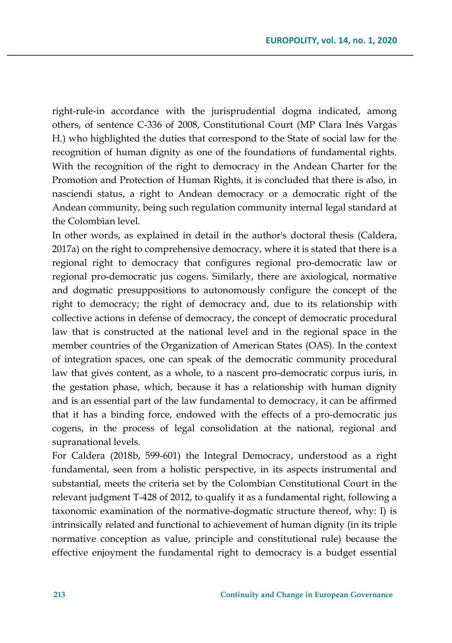right-rule-in accordance with the jurisprudential dogma indicated, among others, of sentence C-336 of 2008, Constitutional Court (MP Clara Inés Vargas H.) who highlighted the duties that correspond to the State of social law for the recognition of human dignity as one of the foundations of fundamental rights. With the recognition of the right to democracy in the Andean Charter for the Promotion and Protection of Human Rights, it is concluded that there is also, in nasciendi status, a right to Andean democracy or a democratic right of the Andean community, being such regulation community internal legal standard at the Colombian level.

In other words, as explained in detail in the author's doctoral thesis (Caldera, 2017a) on the right to comprehensive democracy, where it is stated that there is a regional right to democracy that configures regional pro-democratic law or regional pro-democratic jus cogens. Similarly, there are axiological, normative and dogmatic presuppositions to autonomously configure the concept of the right to democracy; the right of democracy and, due to its relationship with collective actions in defense of democracy, the concept of democratic procedural law that is constructed at the national level and in the regional space in the member countries of the Organization of American States (OAS). In the context of integration spaces, one can speak of the democratic community procedural law that gives content, as a whole, to a nascent pro-democratic corpus iuris, in the gestation phase, which, because it has a relationship with human dignity and is an essential part of the law fundamental to democracy, it can be affirmed that it has a binding force, endowed with the effects of a pro-democratic jus cogens, in the process of legal consolidation at the national, regional and supranational levels.

For Caldera (2018b, 599-601) the Integral Democracy, understood as a right fundamental, seen from a holistic perspective, in its aspects instrumental and substantial, meets the criteria set by the Colombian Constitutional Court in the relevant judgment T-428 of 2012, to qualify it as a fundamental right, following a taxonomic examination of the normative-dogmatic structure thereof, why: I) is intrinsically related and functional to achievement of human dignity (in its triple normative conception as value, principle and constitutional rule) because the effective enjoyment the fundamental right to democracy is a budget essential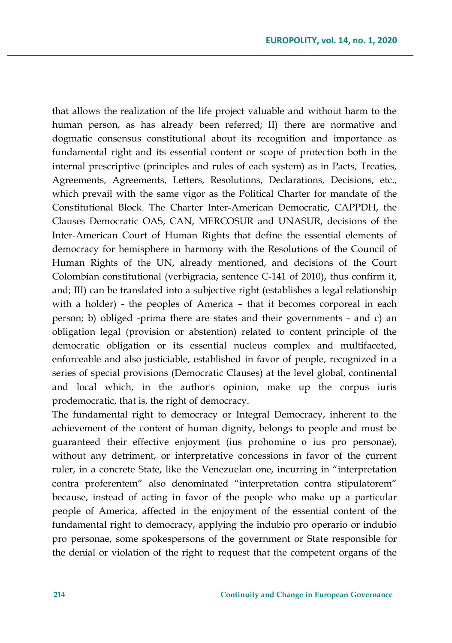that allows the realization of the life project valuable and without harm to the human person, as has already been referred; II) there are normative and dogmatic consensus constitutional about its recognition and importance as fundamental right and its essential content or scope of protection both in the internal prescriptive (principles and rules of each system) as in Pacts, Treaties, Agreements, Agreements, Letters, Resolutions, Declarations, Decisions, etc., which prevail with the same vigor as the Political Charter for mandate of the Constitutional Block. The Charter Inter-American Democratic, CAPPDH, the Clauses Democratic OAS, CAN, MERCOSUR and UNASUR, decisions of the Inter-American Court of Human Rights that define the essential elements of democracy for hemisphere in harmony with the Resolutions of the Council of Human Rights of the UN, already mentioned, and decisions of the Court Colombian constitutional (verbigracia, sentence C-141 of 2010), thus confirm it, and; III) can be translated into a subjective right (establishes a legal relationship with a holder) - the peoples of America – that it becomes corporeal in each person; b) obliged -prima there are states and their governments - and c) an obligation legal (provision or abstention) related to content principle of the democratic obligation or its essential nucleus complex and multifaceted, enforceable and also justiciable, established in favor of people, recognized in a series of special provisions (Democratic Clauses) at the level global, continental and local which, in the author's opinion, make up the corpus iuris prodemocratic, that is, the right of democracy.

The fundamental right to democracy or Integral Democracy, inherent to the achievement of the content of human dignity, belongs to people and must be guaranteed their effective enjoyment (ius prohomine o ius pro personae), without any detriment, or interpretative concessions in favor of the current ruler, in a concrete State, like the Venezuelan one, incurring in "interpretation contra proferentem" also denominated "interpretation contra stipulatorem" because, instead of acting in favor of the people who make up a particular people of America, affected in the enjoyment of the essential content of the fundamental right to democracy, applying the indubio pro operario or indubio pro personae, some spokespersons of the government or State responsible for the denial or violation of the right to request that the competent organs of the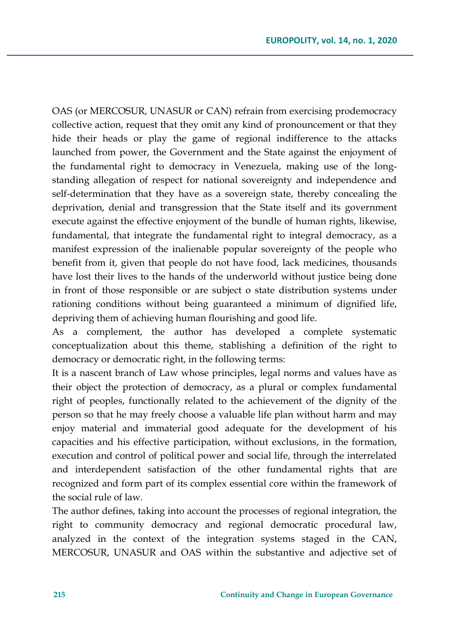OAS (or MERCOSUR, UNASUR or CAN) refrain from exercising prodemocracy collective action, request that they omit any kind of pronouncement or that they hide their heads or play the game of regional indifference to the attacks launched from power, the Government and the State against the enjoyment of the fundamental right to democracy in Venezuela, making use of the longstanding allegation of respect for national sovereignty and independence and self-determination that they have as a sovereign state, thereby concealing the deprivation, denial and transgression that the State itself and its government execute against the effective enjoyment of the bundle of human rights, likewise, fundamental, that integrate the fundamental right to integral democracy, as a manifest expression of the inalienable popular sovereignty of the people who benefit from it, given that people do not have food, lack medicines, thousands have lost their lives to the hands of the underworld without justice being done in front of those responsible or are subject o state distribution systems under rationing conditions without being guaranteed a minimum of dignified life, depriving them of achieving human flourishing and good life.

As a complement, the author has developed a complete systematic conceptualization about this theme, stablishing a definition of the right to democracy or democratic right, in the following terms:

It is a nascent branch of Law whose principles, legal norms and values have as their object the protection of democracy, as a plural or complex fundamental right of peoples, functionally related to the achievement of the dignity of the person so that he may freely choose a valuable life plan without harm and may enjoy material and immaterial good adequate for the development of his capacities and his effective participation, without exclusions, in the formation, execution and control of political power and social life, through the interrelated and interdependent satisfaction of the other fundamental rights that are recognized and form part of its complex essential core within the framework of the social rule of law.

The author defines, taking into account the processes of regional integration, the right to community democracy and regional democratic procedural law, analyzed in the context of the integration systems staged in the CAN, MERCOSUR, UNASUR and OAS within the substantive and adjective set of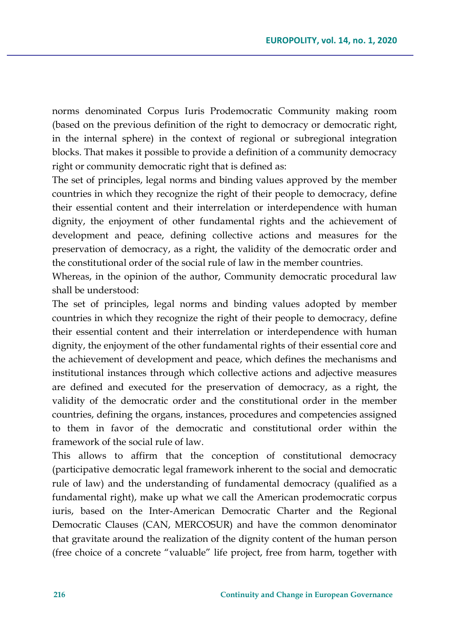norms denominated Corpus Iuris Prodemocratic Community making room (based on the previous definition of the right to democracy or democratic right, in the internal sphere) in the context of regional or subregional integration blocks. That makes it possible to provide a definition of a community democracy right or community democratic right that is defined as:

The set of principles, legal norms and binding values approved by the member countries in which they recognize the right of their people to democracy, define their essential content and their interrelation or interdependence with human dignity, the enjoyment of other fundamental rights and the achievement of development and peace, defining collective actions and measures for the preservation of democracy, as a right, the validity of the democratic order and the constitutional order of the social rule of law in the member countries.

Whereas, in the opinion of the author, Community democratic procedural law shall be understood:

The set of principles, legal norms and binding values adopted by member countries in which they recognize the right of their people to democracy, define their essential content and their interrelation or interdependence with human dignity, the enjoyment of the other fundamental rights of their essential core and the achievement of development and peace, which defines the mechanisms and institutional instances through which collective actions and adjective measures are defined and executed for the preservation of democracy, as a right, the validity of the democratic order and the constitutional order in the member countries, defining the organs, instances, procedures and competencies assigned to them in favor of the democratic and constitutional order within the framework of the social rule of law.

This allows to affirm that the conception of constitutional democracy (participative democratic legal framework inherent to the social and democratic rule of law) and the understanding of fundamental democracy (qualified as a fundamental right), make up what we call the American prodemocratic corpus iuris, based on the Inter-American Democratic Charter and the Regional Democratic Clauses (CAN, MERCOSUR) and have the common denominator that gravitate around the realization of the dignity content of the human person (free choice of a concrete "valuable" life project, free from harm, together with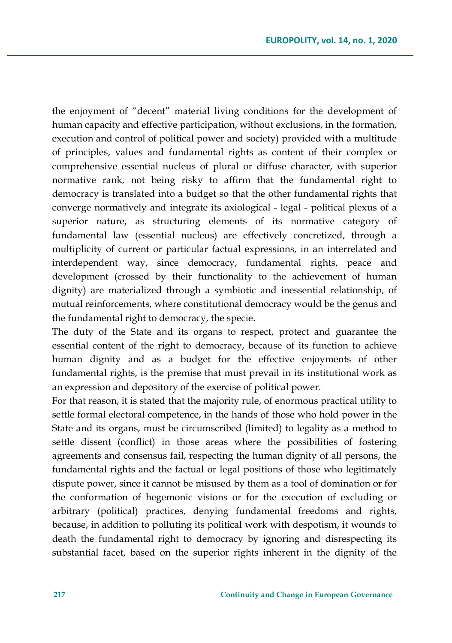the enjoyment of "decent" material living conditions for the development of human capacity and effective participation, without exclusions, in the formation, execution and control of political power and society) provided with a multitude of principles, values and fundamental rights as content of their complex or comprehensive essential nucleus of plural or diffuse character, with superior normative rank, not being risky to affirm that the fundamental right to democracy is translated into a budget so that the other fundamental rights that converge normatively and integrate its axiological - legal - political plexus of a superior nature, as structuring elements of its normative category of fundamental law (essential nucleus) are effectively concretized, through a multiplicity of current or particular factual expressions, in an interrelated and interdependent way, since democracy, fundamental rights, peace and development (crossed by their functionality to the achievement of human dignity) are materialized through a symbiotic and inessential relationship, of mutual reinforcements, where constitutional democracy would be the genus and the fundamental right to democracy, the specie.

The duty of the State and its organs to respect, protect and guarantee the essential content of the right to democracy, because of its function to achieve human dignity and as a budget for the effective enjoyments of other fundamental rights, is the premise that must prevail in its institutional work as an expression and depository of the exercise of political power.

For that reason, it is stated that the majority rule, of enormous practical utility to settle formal electoral competence, in the hands of those who hold power in the State and its organs, must be circumscribed (limited) to legality as a method to settle dissent (conflict) in those areas where the possibilities of fostering agreements and consensus fail, respecting the human dignity of all persons, the fundamental rights and the factual or legal positions of those who legitimately dispute power, since it cannot be misused by them as a tool of domination or for the conformation of hegemonic visions or for the execution of excluding or arbitrary (political) practices, denying fundamental freedoms and rights, because, in addition to polluting its political work with despotism, it wounds to death the fundamental right to democracy by ignoring and disrespecting its substantial facet, based on the superior rights inherent in the dignity of the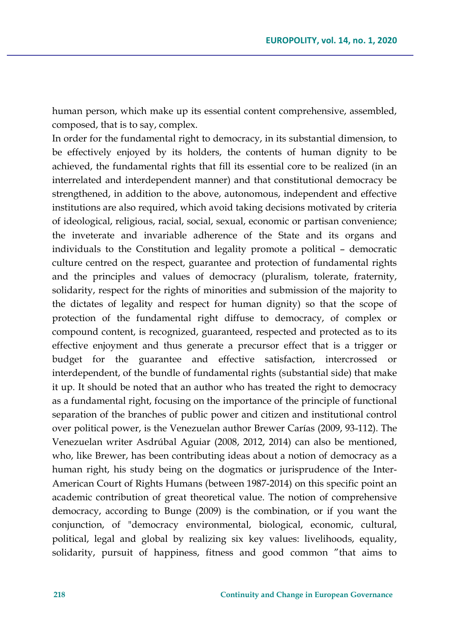human person, which make up its essential content comprehensive, assembled, composed, that is to say, complex.

In order for the fundamental right to democracy, in its substantial dimension, to be effectively enjoyed by its holders, the contents of human dignity to be achieved, the fundamental rights that fill its essential core to be realized (in an interrelated and interdependent manner) and that constitutional democracy be strengthened, in addition to the above, autonomous, independent and effective institutions are also required, which avoid taking decisions motivated by criteria of ideological, religious, racial, social, sexual, economic or partisan convenience; the inveterate and invariable adherence of the State and its organs and individuals to the Constitution and legality promote a political – democratic culture centred on the respect, guarantee and protection of fundamental rights and the principles and values of democracy (pluralism, tolerate, fraternity, solidarity, respect for the rights of minorities and submission of the majority to the dictates of legality and respect for human dignity) so that the scope of protection of the fundamental right diffuse to democracy, of complex or compound content, is recognized, guaranteed, respected and protected as to its effective enjoyment and thus generate a precursor effect that is a trigger or budget for the guarantee and effective satisfaction, intercrossed or interdependent, of the bundle of fundamental rights (substantial side) that make it up. It should be noted that an author who has treated the right to democracy as a fundamental right, focusing on the importance of the principle of functional separation of the branches of public power and citizen and institutional control over political power, is the Venezuelan author Brewer Carías (2009, 93-112). The Venezuelan writer Asdrúbal Aguiar (2008, 2012, 2014) can also be mentioned, who, like Brewer, has been contributing ideas about a notion of democracy as a human right, his study being on the dogmatics or jurisprudence of the Inter-American Court of Rights Humans (between 1987-2014) on this specific point an academic contribution of great theoretical value. The notion of comprehensive democracy, according to Bunge (2009) is the combination, or if you want the conjunction, of "democracy environmental, biological, economic, cultural, political, legal and global by realizing six key values: livelihoods, equality, solidarity, pursuit of happiness, fitness and good common "that aims to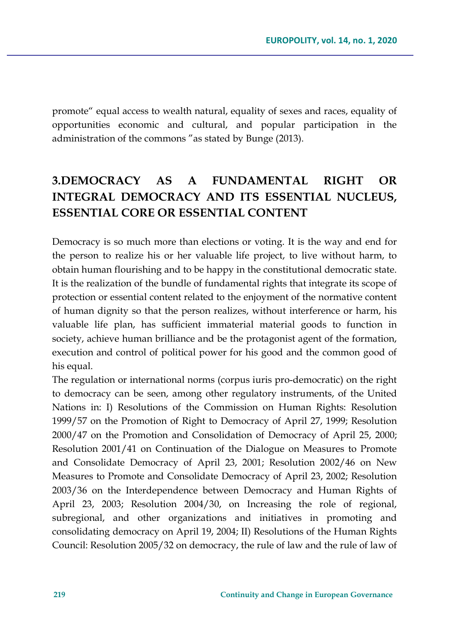promote" equal access to wealth natural, equality of sexes and races, equality of opportunities economic and cultural, and popular participation in the administration of the commons "as stated by Bunge (2013).

## **3.DEMOCRACY AS A FUNDAMENTAL RIGHT OR INTEGRAL DEMOCRACY AND ITS ESSENTIAL NUCLEUS, ESSENTIAL CORE OR ESSENTIAL CONTENT**

Democracy is so much more than elections or voting. It is the way and end for the person to realize his or her valuable life project, to live without harm, to obtain human flourishing and to be happy in the constitutional democratic state. It is the realization of the bundle of fundamental rights that integrate its scope of protection or essential content related to the enjoyment of the normative content of human dignity so that the person realizes, without interference or harm, his valuable life plan, has sufficient immaterial material goods to function in society, achieve human brilliance and be the protagonist agent of the formation, execution and control of political power for his good and the common good of his equal.

The regulation or international norms (corpus iuris pro-democratic) on the right to democracy can be seen, among other regulatory instruments, of the United Nations in: I) Resolutions of the Commission on Human Rights: Resolution 1999/57 on the Promotion of Right to Democracy of April 27, 1999; Resolution 2000/47 on the Promotion and Consolidation of Democracy of April 25, 2000; Resolution 2001/41 on Continuation of the Dialogue on Measures to Promote and Consolidate Democracy of April 23, 2001; Resolution 2002/46 on New Measures to Promote and Consolidate Democracy of April 23, 2002; Resolution 2003/36 on the Interdependence between Democracy and Human Rights of April 23, 2003; Resolution 2004/30, on Increasing the role of regional, subregional, and other organizations and initiatives in promoting and consolidating democracy on April 19, 2004; II) Resolutions of the Human Rights Council: Resolution 2005/32 on democracy, the rule of law and the rule of law of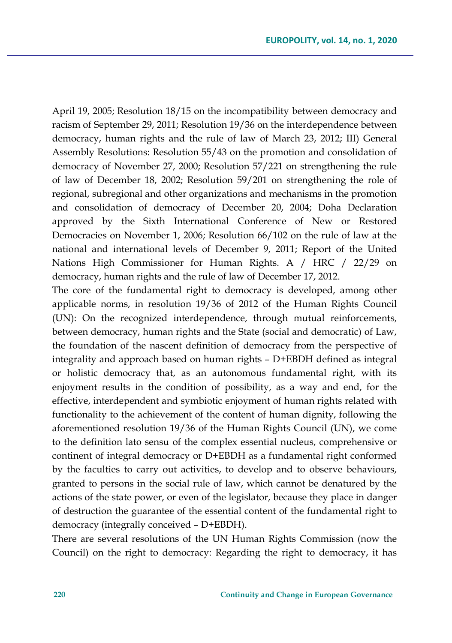April 19, 2005; Resolution 18/15 on the incompatibility between democracy and racism of September 29, 2011; Resolution 19/36 on the interdependence between democracy, human rights and the rule of law of March 23, 2012; III) General Assembly Resolutions: Resolution 55/43 on the promotion and consolidation of democracy of November 27, 2000; Resolution 57/221 on strengthening the rule of law of December 18, 2002; Resolution 59/201 on strengthening the role of regional, subregional and other organizations and mechanisms in the promotion and consolidation of democracy of December 20, 2004; Doha Declaration approved by the Sixth International Conference of New or Restored Democracies on November 1, 2006; Resolution 66/102 on the rule of law at the national and international levels of December 9, 2011; Report of the United Nations High Commissioner for Human Rights. A / HRC / 22/29 on democracy, human rights and the rule of law of December 17, 2012.

The core of the fundamental right to democracy is developed, among other applicable norms, in resolution 19/36 of 2012 of the Human Rights Council (UN): On the recognized interdependence, through mutual reinforcements, between democracy, human rights and the State (social and democratic) of Law, the foundation of the nascent definition of democracy from the perspective of integrality and approach based on human rights – D+EBDH defined as integral or holistic democracy that, as an autonomous fundamental right, with its enjoyment results in the condition of possibility, as a way and end, for the effective, interdependent and symbiotic enjoyment of human rights related with functionality to the achievement of the content of human dignity, following the aforementioned resolution 19/36 of the Human Rights Council (UN), we come to the definition lato sensu of the complex essential nucleus, comprehensive or continent of integral democracy or D+EBDH as a fundamental right conformed by the faculties to carry out activities, to develop and to observe behaviours, granted to persons in the social rule of law, which cannot be denatured by the actions of the state power, or even of the legislator, because they place in danger of destruction the guarantee of the essential content of the fundamental right to democracy (integrally conceived – D+EBDH).

There are several resolutions of the UN Human Rights Commission (now the Council) on the right to democracy: Regarding the right to democracy, it has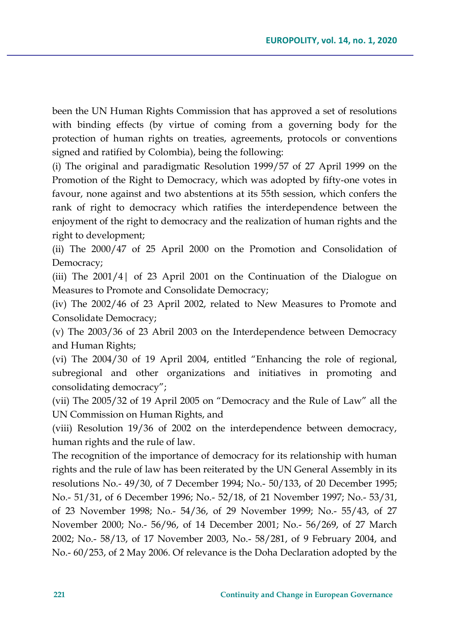been the UN Human Rights Commission that has approved a set of resolutions with binding effects (by virtue of coming from a governing body for the protection of human rights on treaties, agreements, protocols or conventions signed and ratified by Colombia), being the following:

(i) The original and paradigmatic Resolution 1999/57 of 27 April 1999 on the Promotion of the Right to Democracy, which was adopted by fifty-one votes in favour, none against and two abstentions at its 55th session, which confers the rank of right to democracy which ratifies the interdependence between the enjoyment of the right to democracy and the realization of human rights and the right to development;

(ii) The 2000/47 of 25 April 2000 on the Promotion and Consolidation of Democracy;

(iii) The 2001/4| of 23 April 2001 on the Continuation of the Dialogue on Measures to Promote and Consolidate Democracy;

(iv) The 2002/46 of 23 April 2002, related to New Measures to Promote and Consolidate Democracy;

(v) The 2003/36 of 23 Abril 2003 on the Interdependence between Democracy and Human Rights;

(vi) The 2004/30 of 19 April 2004, entitled "Enhancing the role of regional, subregional and other organizations and initiatives in promoting and consolidating democracy";

(vii) The 2005/32 of 19 April 2005 on "Democracy and the Rule of Law" all the UN Commission on Human Rights, and

(viii) Resolution 19/36 of 2002 on the interdependence between democracy, human rights and the rule of law.

The recognition of the importance of democracy for its relationship with human rights and the rule of law has been reiterated by the UN General Assembly in its resolutions No.- 49/30, of 7 December 1994; No.- 50/133, of 20 December 1995; No.- 51/31, of 6 December 1996; No.- 52/18, of 21 November 1997; No.- 53/31, of 23 November 1998; No.- 54/36, of 29 November 1999; No.- 55/43, of 27 November 2000; No.- 56/96, of 14 December 2001; No.- 56/269, of 27 March 2002; No.- 58/13, of 17 November 2003, No.- 58/281, of 9 February 2004, and No.- 60/253, of 2 May 2006. Of relevance is the Doha Declaration adopted by the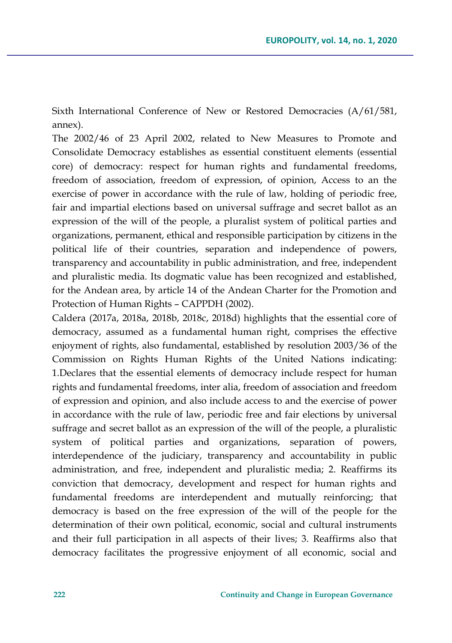Sixth International Conference of New or Restored Democracies (A/61/581, annex).

The 2002/46 of 23 April 2002, related to New Measures to Promote and Consolidate Democracy establishes as essential constituent elements (essential core) of democracy: respect for human rights and fundamental freedoms, freedom of association, freedom of expression, of opinion, Access to an the exercise of power in accordance with the rule of law, holding of periodic free, fair and impartial elections based on universal suffrage and secret ballot as an expression of the will of the people, a pluralist system of political parties and organizations, permanent, ethical and responsible participation by citizens in the political life of their countries, separation and independence of powers, transparency and accountability in public administration, and free, independent and pluralistic media. Its dogmatic value has been recognized and established, for the Andean area, by article 14 of the Andean Charter for the Promotion and Protection of Human Rights – CAPPDH (2002).

Caldera (2017a, 2018a, 2018b, 2018c, 2018d) highlights that the essential core of democracy, assumed as a fundamental human right, comprises the effective enjoyment of rights, also fundamental, established by resolution 2003/36 of the Commission on Rights Human Rights of the United Nations indicating: 1.Declares that the essential elements of democracy include respect for human rights and fundamental freedoms, inter alia, freedom of association and freedom of expression and opinion, and also include access to and the exercise of power in accordance with the rule of law, periodic free and fair elections by universal suffrage and secret ballot as an expression of the will of the people, a pluralistic system of political parties and organizations, separation of powers, interdependence of the judiciary, transparency and accountability in public administration, and free, independent and pluralistic media; 2. Reaffirms its conviction that democracy, development and respect for human rights and fundamental freedoms are interdependent and mutually reinforcing; that democracy is based on the free expression of the will of the people for the determination of their own political, economic, social and cultural instruments and their full participation in all aspects of their lives; 3. Reaffirms also that democracy facilitates the progressive enjoyment of all economic, social and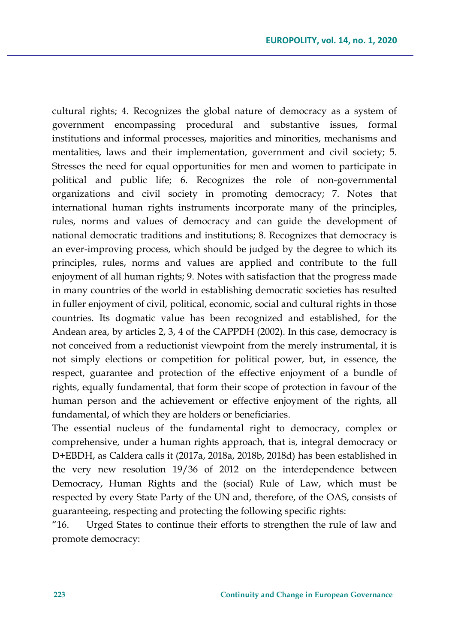cultural rights; 4. Recognizes the global nature of democracy as a system of government encompassing procedural and substantive issues, formal institutions and informal processes, majorities and minorities, mechanisms and mentalities, laws and their implementation, government and civil society; 5. Stresses the need for equal opportunities for men and women to participate in political and public life; 6. Recognizes the role of non-governmental organizations and civil society in promoting democracy; 7. Notes that international human rights instruments incorporate many of the principles, rules, norms and values of democracy and can guide the development of national democratic traditions and institutions; 8. Recognizes that democracy is an ever-improving process, which should be judged by the degree to which its principles, rules, norms and values are applied and contribute to the full enjoyment of all human rights; 9. Notes with satisfaction that the progress made in many countries of the world in establishing democratic societies has resulted in fuller enjoyment of civil, political, economic, social and cultural rights in those countries. Its dogmatic value has been recognized and established, for the Andean area, by articles 2, 3, 4 of the CAPPDH (2002). In this case, democracy is not conceived from a reductionist viewpoint from the merely instrumental, it is not simply elections or competition for political power, but, in essence, the respect, guarantee and protection of the effective enjoyment of a bundle of rights, equally fundamental, that form their scope of protection in favour of the human person and the achievement or effective enjoyment of the rights, all fundamental, of which they are holders or beneficiaries.

The essential nucleus of the fundamental right to democracy, complex or comprehensive, under a human rights approach, that is, integral democracy or D+EBDH, as Caldera calls it (2017a, 2018a, 2018b, 2018d) has been established in the very new resolution 19/36 of 2012 on the interdependence between Democracy, Human Rights and the (social) Rule of Law, which must be respected by every State Party of the UN and, therefore, of the OAS, consists of guaranteeing, respecting and protecting the following specific rights:

"16. Urged States to continue their efforts to strengthen the rule of law and promote democracy: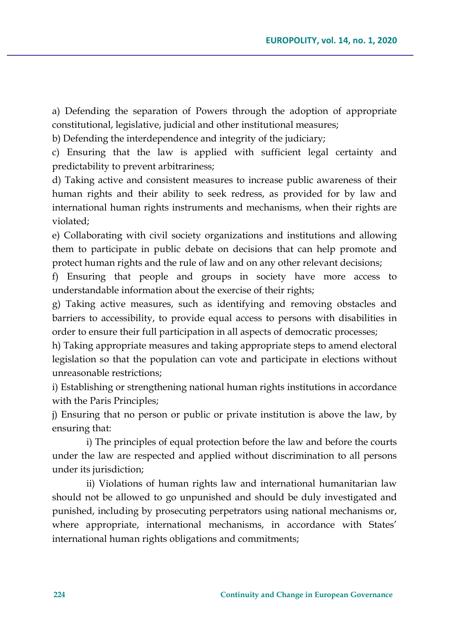a) Defending the separation of Powers through the adoption of appropriate constitutional, legislative, judicial and other institutional measures;

b) Defending the interdependence and integrity of the judiciary;

c) Ensuring that the law is applied with sufficient legal certainty and predictability to prevent arbitrariness;

d) Taking active and consistent measures to increase public awareness of their human rights and their ability to seek redress, as provided for by law and international human rights instruments and mechanisms, when their rights are violated;

e) Collaborating with civil society organizations and institutions and allowing them to participate in public debate on decisions that can help promote and protect human rights and the rule of law and on any other relevant decisions;

f) Ensuring that people and groups in society have more access to understandable information about the exercise of their rights;

g) Taking active measures, such as identifying and removing obstacles and barriers to accessibility, to provide equal access to persons with disabilities in order to ensure their full participation in all aspects of democratic processes;

h) Taking appropriate measures and taking appropriate steps to amend electoral legislation so that the population can vote and participate in elections without unreasonable restrictions;

i) Establishing or strengthening national human rights institutions in accordance with the Paris Principles;

j) Ensuring that no person or public or private institution is above the law, by ensuring that:

i) The principles of equal protection before the law and before the courts under the law are respected and applied without discrimination to all persons under its jurisdiction;

ii) Violations of human rights law and international humanitarian law should not be allowed to go unpunished and should be duly investigated and punished, including by prosecuting perpetrators using national mechanisms or, where appropriate, international mechanisms, in accordance with States' international human rights obligations and commitments;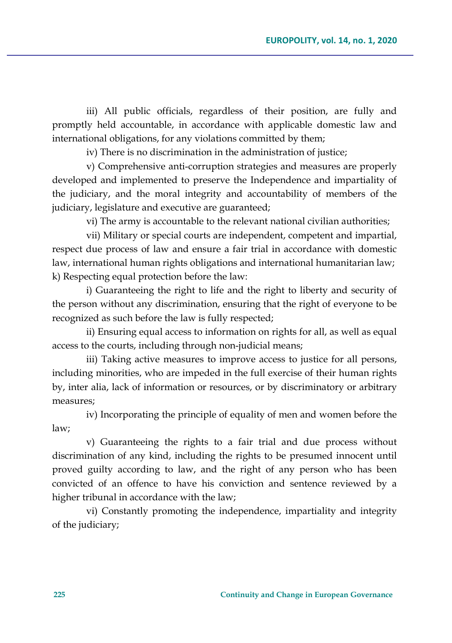iii) All public officials, regardless of their position, are fully and promptly held accountable, in accordance with applicable domestic law and international obligations, for any violations committed by them;

iv) There is no discrimination in the administration of justice;

v) Comprehensive anti-corruption strategies and measures are properly developed and implemented to preserve the Independence and impartiality of the judiciary, and the moral integrity and accountability of members of the judiciary, legislature and executive are guaranteed;

vi) The army is accountable to the relevant national civilian authorities;

vii) Military or special courts are independent, competent and impartial, respect due process of law and ensure a fair trial in accordance with domestic law, international human rights obligations and international humanitarian law; k) Respecting equal protection before the law:

i) Guaranteeing the right to life and the right to liberty and security of the person without any discrimination, ensuring that the right of everyone to be recognized as such before the law is fully respected;

ii) Ensuring equal access to information on rights for all, as well as equal access to the courts, including through non-judicial means;

iii) Taking active measures to improve access to justice for all persons, including minorities, who are impeded in the full exercise of their human rights by, inter alia, lack of information or resources, or by discriminatory or arbitrary measures;

iv) Incorporating the principle of equality of men and women before the law;

v) Guaranteeing the rights to a fair trial and due process without discrimination of any kind, including the rights to be presumed innocent until proved guilty according to law, and the right of any person who has been convicted of an offence to have his conviction and sentence reviewed by a higher tribunal in accordance with the law;

vi) Constantly promoting the independence, impartiality and integrity of the judiciary;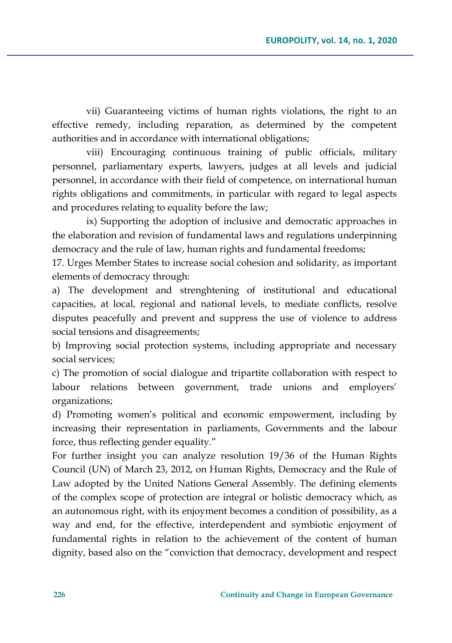vii) Guaranteeing victims of human rights violations, the right to an effective remedy, including reparation, as determined by the competent authorities and in accordance with international obligations;

viii) Encouraging continuous training of public officials, military personnel, parliamentary experts, lawyers, judges at all levels and judicial personnel, in accordance with their field of competence, on international human rights obligations and commitments, in particular with regard to legal aspects and procedures relating to equality before the law;

ix) Supporting the adoption of inclusive and democratic approaches in the elaboration and revision of fundamental laws and regulations underpinning democracy and the rule of law, human rights and fundamental freedoms;

17. Urges Member States to increase social cohesion and solidarity, as important elements of democracy through:

a) The development and strenghtening of institutional and educational capacities, at local, regional and national levels, to mediate conflicts, resolve disputes peacefully and prevent and suppress the use of violence to address social tensions and disagreements;

b) Improving social protection systems, including appropriate and necessary social services;

c) The promotion of social dialogue and tripartite collaboration with respect to labour relations between government, trade unions and employers' organizations;

d) Promoting women's political and economic empowerment, including by increasing their representation in parliaments, Governments and the labour force, thus reflecting gender equality."

For further insight you can analyze resolution 19/36 of the Human Rights Council (UN) of March 23, 2012, on Human Rights, Democracy and the Rule of Law adopted by the United Nations General Assembly. The defining elements of the complex scope of protection are integral or holistic democracy which, as an autonomous right, with its enjoyment becomes a condition of possibility, as a way and end, for the effective, interdependent and symbiotic enjoyment of fundamental rights in relation to the achievement of the content of human dignity, based also on the "conviction that democracy, development and respect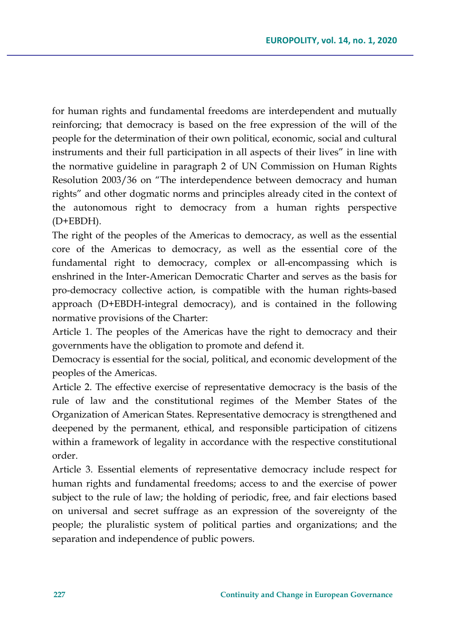for human rights and fundamental freedoms are interdependent and mutually reinforcing; that democracy is based on the free expression of the will of the people for the determination of their own political, economic, social and cultural instruments and their full participation in all aspects of their lives" in line with the normative guideline in paragraph 2 of UN Commission on Human Rights Resolution 2003/36 on "The interdependence between democracy and human rights" and other dogmatic norms and principles already cited in the context of the autonomous right to democracy from a human rights perspective (D+EBDH).

The right of the peoples of the Americas to democracy, as well as the essential core of the Americas to democracy, as well as the essential core of the fundamental right to democracy, complex or all-encompassing which is enshrined in the Inter-American Democratic Charter and serves as the basis for pro-democracy collective action, is compatible with the human rights-based approach (D+EBDH-integral democracy), and is contained in the following normative provisions of the Charter:

Article 1. The peoples of the Americas have the right to democracy and their governments have the obligation to promote and defend it.

Democracy is essential for the social, political, and economic development of the peoples of the Americas.

Article 2. The effective exercise of representative democracy is the basis of the rule of law and the constitutional regimes of the Member States of the Organization of American States. Representative democracy is strengthened and deepened by the permanent, ethical, and responsible participation of citizens within a framework of legality in accordance with the respective constitutional order.

Article 3. Essential elements of representative democracy include respect for human rights and fundamental freedoms; access to and the exercise of power subject to the rule of law; the holding of periodic, free, and fair elections based on universal and secret suffrage as an expression of the sovereignty of the people; the pluralistic system of political parties and organizations; and the separation and independence of public powers.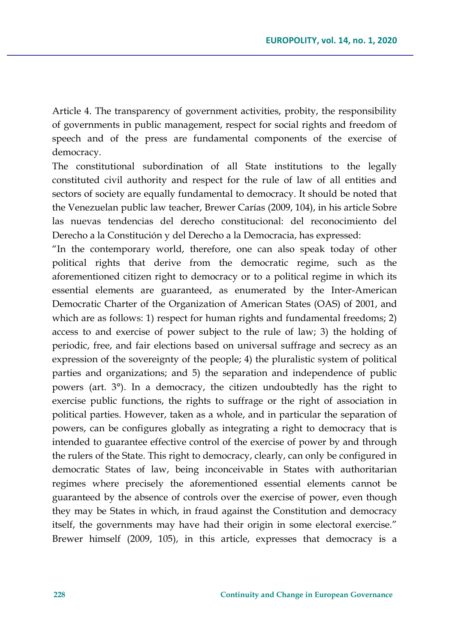Article 4. The transparency of government activities, probity, the responsibility of governments in public management, respect for social rights and freedom of speech and of the press are fundamental components of the exercise of democracy.

The constitutional subordination of all State institutions to the legally constituted civil authority and respect for the rule of law of all entities and sectors of society are equally fundamental to democracy. It should be noted that the Venezuelan public law teacher, Brewer Carías (2009, 104), in his article Sobre las nuevas tendencias del derecho constitucional: del reconocimiento del Derecho a la Constitución y del Derecho a la Democracia, has expressed:

"In the contemporary world, therefore, one can also speak today of other political rights that derive from the democratic regime, such as the aforementioned citizen right to democracy or to a political regime in which its essential elements are guaranteed, as enumerated by the Inter-American Democratic Charter of the Organization of American States (OAS) of 2001, and which are as follows: 1) respect for human rights and fundamental freedoms; 2) access to and exercise of power subject to the rule of law; 3) the holding of periodic, free, and fair elections based on universal suffrage and secrecy as an expression of the sovereignty of the people; 4) the pluralistic system of political parties and organizations; and 5) the separation and independence of public powers (art. 3°). In a democracy, the citizen undoubtedly has the right to exercise public functions, the rights to suffrage or the right of association in political parties. However, taken as a whole, and in particular the separation of powers, can be configures globally as integrating a right to democracy that is intended to guarantee effective control of the exercise of power by and through the rulers of the State. This right to democracy, clearly, can only be configured in democratic States of law, being inconceivable in States with authoritarian regimes where precisely the aforementioned essential elements cannot be guaranteed by the absence of controls over the exercise of power, even though they may be States in which, in fraud against the Constitution and democracy itself, the governments may have had their origin in some electoral exercise." Brewer himself (2009, 105), in this article, expresses that democracy is a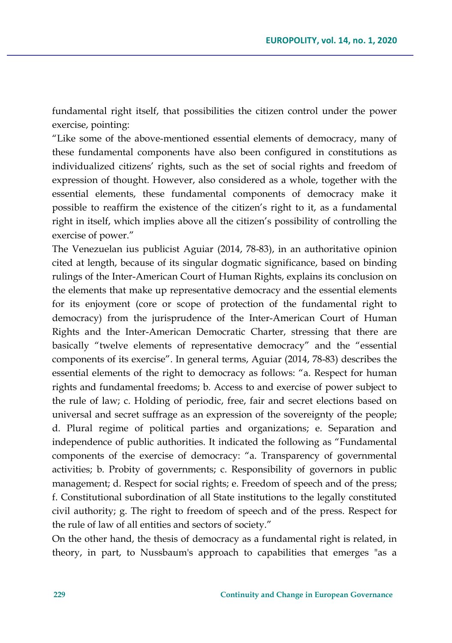fundamental right itself, that possibilities the citizen control under the power exercise, pointing:

"Like some of the above-mentioned essential elements of democracy, many of these fundamental components have also been configured in constitutions as individualized citizens' rights, such as the set of social rights and freedom of expression of thought. However, also considered as a whole, together with the essential elements, these fundamental components of democracy make it possible to reaffirm the existence of the citizen's right to it, as a fundamental right in itself, which implies above all the citizen's possibility of controlling the exercise of power."

The Venezuelan ius publicist Aguiar (2014, 78-83), in an authoritative opinion cited at length, because of its singular dogmatic significance, based on binding rulings of the Inter-American Court of Human Rights, explains its conclusion on the elements that make up representative democracy and the essential elements for its enjoyment (core or scope of protection of the fundamental right to democracy) from the jurisprudence of the Inter-American Court of Human Rights and the Inter-American Democratic Charter, stressing that there are basically "twelve elements of representative democracy" and the "essential components of its exercise". In general terms, Aguiar (2014, 78-83) describes the essential elements of the right to democracy as follows: "a. Respect for human rights and fundamental freedoms; b. Access to and exercise of power subject to the rule of law; c. Holding of periodic, free, fair and secret elections based on universal and secret suffrage as an expression of the sovereignty of the people; d. Plural regime of political parties and organizations; e. Separation and independence of public authorities. It indicated the following as "Fundamental components of the exercise of democracy: "a. Transparency of governmental activities; b. Probity of governments; c. Responsibility of governors in public management; d. Respect for social rights; e. Freedom of speech and of the press; f. Constitutional subordination of all State institutions to the legally constituted civil authority; g. The right to freedom of speech and of the press. Respect for the rule of law of all entities and sectors of society."

On the other hand, the thesis of democracy as a fundamental right is related, in theory, in part, to Nussbaum's approach to capabilities that emerges "as a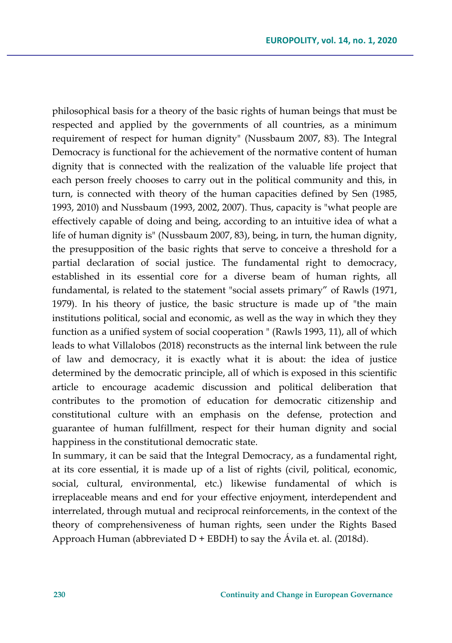philosophical basis for a theory of the basic rights of human beings that must be respected and applied by the governments of all countries, as a minimum requirement of respect for human dignity" (Nussbaum 2007, 83). The Integral Democracy is functional for the achievement of the normative content of human dignity that is connected with the realization of the valuable life project that each person freely chooses to carry out in the political community and this, in turn, is connected with theory of the human capacities defined by Sen (1985, 1993, 2010) and Nussbaum (1993, 2002, 2007). Thus, capacity is "what people are effectively capable of doing and being, according to an intuitive idea of what a life of human dignity is" (Nussbaum 2007, 83), being, in turn, the human dignity, the presupposition of the basic rights that serve to conceive a threshold for a partial declaration of social justice. The fundamental right to democracy, established in its essential core for a diverse beam of human rights, all fundamental, is related to the statement "social assets primary" of Rawls (1971, 1979). In his theory of justice, the basic structure is made up of "the main institutions political, social and economic, as well as the way in which they they function as a unified system of social cooperation " (Rawls 1993, 11), all of which leads to what Villalobos (2018) reconstructs as the internal link between the rule of law and democracy, it is exactly what it is about: the idea of justice determined by the democratic principle, all of which is exposed in this scientific article to encourage academic discussion and political deliberation that contributes to the promotion of education for democratic citizenship and constitutional culture with an emphasis on the defense, protection and guarantee of human fulfillment, respect for their human dignity and social happiness in the constitutional democratic state.

In summary, it can be said that the Integral Democracy, as a fundamental right, at its core essential, it is made up of a list of rights (civil, political, economic, social, cultural, environmental, etc.) likewise fundamental of which is irreplaceable means and end for your effective enjoyment, interdependent and interrelated, through mutual and reciprocal reinforcements, in the context of the theory of comprehensiveness of human rights, seen under the Rights Based Approach Human (abbreviated  $D$  + EBDH) to say the Ávila et. al. (2018d).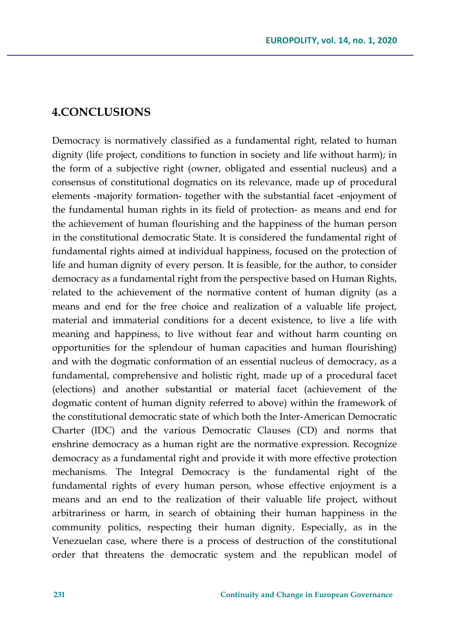## **4.CONCLUSIONS**

Democracy is normatively classified as a fundamental right, related to human dignity (life project, conditions to function in society and life without harm); in the form of a subjective right (owner, obligated and essential nucleus) and a consensus of constitutional dogmatics on its relevance, made up of procedural elements -majority formation- together with the substantial facet -enjoyment of the fundamental human rights in its field of protection- as means and end for the achievement of human flourishing and the happiness of the human person in the constitutional democratic State. It is considered the fundamental right of fundamental rights aimed at individual happiness, focused on the protection of life and human dignity of every person. It is feasible, for the author, to consider democracy as a fundamental right from the perspective based on Human Rights, related to the achievement of the normative content of human dignity (as a means and end for the free choice and realization of a valuable life project, material and immaterial conditions for a decent existence, to live a life with meaning and happiness, to live without fear and without harm counting on opportunities for the splendour of human capacities and human flourishing) and with the dogmatic conformation of an essential nucleus of democracy, as a fundamental, comprehensive and holistic right, made up of a procedural facet (elections) and another substantial or material facet (achievement of the dogmatic content of human dignity referred to above) within the framework of the constitutional democratic state of which both the Inter-American Democratic Charter (IDC) and the various Democratic Clauses (CD) and norms that enshrine democracy as a human right are the normative expression. Recognize democracy as a fundamental right and provide it with more effective protection mechanisms. The Integral Democracy is the fundamental right of the fundamental rights of every human person, whose effective enjoyment is a means and an end to the realization of their valuable life project, without arbitrariness or harm, in search of obtaining their human happiness in the community politics, respecting their human dignity. Especially, as in the Venezuelan case, where there is a process of destruction of the constitutional order that threatens the democratic system and the republican model of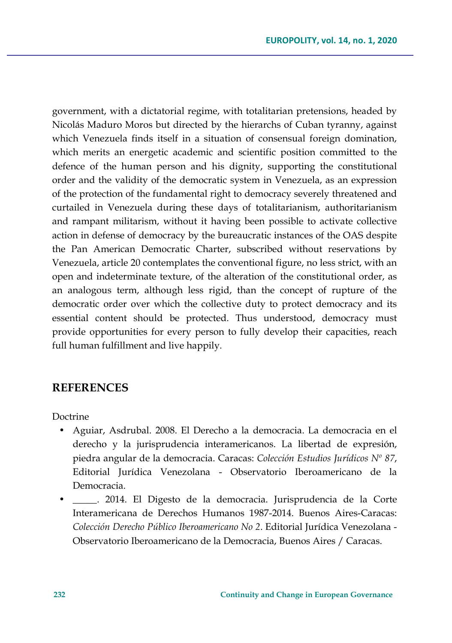government, with a dictatorial regime, with totalitarian pretensions, headed by Nicolás Maduro Moros but directed by the hierarchs of Cuban tyranny, against which Venezuela finds itself in a situation of consensual foreign domination, which merits an energetic academic and scientific position committed to the defence of the human person and his dignity, supporting the constitutional order and the validity of the democratic system in Venezuela, as an expression of the protection of the fundamental right to democracy severely threatened and curtailed in Venezuela during these days of totalitarianism, authoritarianism and rampant militarism, without it having been possible to activate collective action in defense of democracy by the bureaucratic instances of the OAS despite the Pan American Democratic Charter, subscribed without reservations by Venezuela, article 20 contemplates the conventional figure, no less strict, with an open and indeterminate texture, of the alteration of the constitutional order, as an analogous term, although less rigid, than the concept of rupture of the democratic order over which the collective duty to protect democracy and its essential content should be protected. Thus understood, democracy must provide opportunities for every person to fully develop their capacities, reach full human fulfillment and live happily.

### **REFERENCES**

Doctrine

- Aguiar, Asdrubal. 2008. El Derecho a la democracia. La democracia en el derecho y la jurisprudencia interamericanos. La libertad de expresión, piedra angular de la democracia. Caracas: *Colección Estudios Jurídicos Nº 87*, Editorial Jurídica Venezolana - Observatorio Iberoamericano de la Democracia.
- \_\_\_\_\_. 2014. El Digesto de la democracia. Jurisprudencia de la Corte Interamericana de Derechos Humanos 1987-2014. Buenos Aires-Caracas: *Colección Derecho Público Iberoamericano No 2*. Editorial Jurídica Venezolana - Observatorio Iberoamericano de la Democracia, Buenos Aires / Caracas.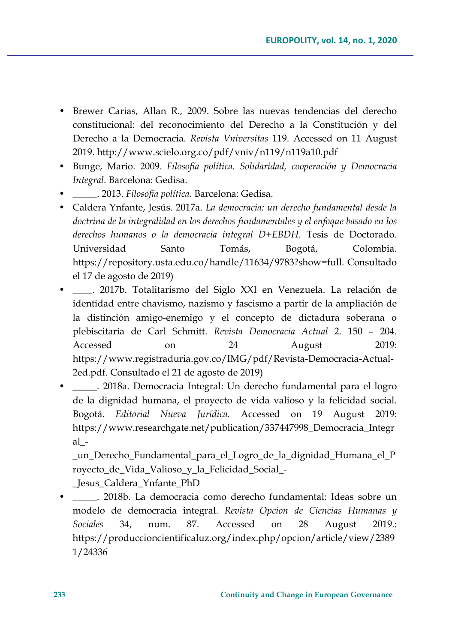- Brewer Carias, Allan R., 2009. Sobre las nuevas tendencias del derecho constitucional: del reconocimiento del Derecho a la Constitución y del Derecho a la Democracia. *Revista Vniversitas* 119. Accessed on 11 August 2019. http://www.scielo.org.co/pdf/vniv/n119/n119a10.pdf
- Bunge, Mario. 2009. *Filosofía política. Solidaridad, cooperación y Democracia Integral*. Barcelona: Gedisa.
- \_\_\_\_\_. 2013. *Filosofía política*. Barcelona: Gedisa.
- Caldera Ynfante, Jesús. 2017a. *La democracia: un derecho fundamental desde la doctrina de la integralidad en los derechos fundamentales y el enfoque basado en los derechos humanos o la democracia integral D+EBDH*. Tesis de Doctorado. Universidad Santo Tomás, Bogotá, Colombia. https://repository.usta.edu.co/handle/11634/9783?show=full. Consultado el 17 de agosto de 2019)
- \_\_\_\_. 2017b. Totalitarismo del Siglo XXI en Venezuela. La relación de identidad entre chavismo, nazismo y fascismo a partir de la ampliación de la distinción amigo-enemigo y el concepto de dictadura soberana o plebiscitaria de Carl Schmitt. *Revista Democracia Actual* 2. 150 – 204. Accessed on 24 August 2019: https://www.registraduria.gov.co/IMG/pdf/Revista-Democracia-Actual-2ed.pdf. Consultado el 21 de agosto de 2019)
- \_\_\_\_\_. 2018a. Democracia Integral: Un derecho fundamental para el logro de la dignidad humana, el proyecto de vida valioso y la felicidad social. Bogotá. *Editorial Nueva Jurídica.* Accessed on 19 August 2019: https://www.researchgate.net/publication/337447998\_Democracia\_Integr al\_-

\_un\_Derecho\_Fundamental\_para\_el\_Logro\_de\_la\_dignidad\_Humana\_el\_P royecto\_de\_Vida\_Valioso\_y\_la\_Felicidad\_Social\_-

\_Jesus\_Caldera\_Ynfante\_PhD

• \_\_\_\_\_. 2018b. La democracia como derecho fundamental: Ideas sobre un modelo de democracia integral. *Revista Opcion de Ciencias Humanas y Sociales* 34, num. 87. Accessed on 28 August 2019.: https://produccioncientificaluz.org/index.php/opcion/article/view/2389 1/24336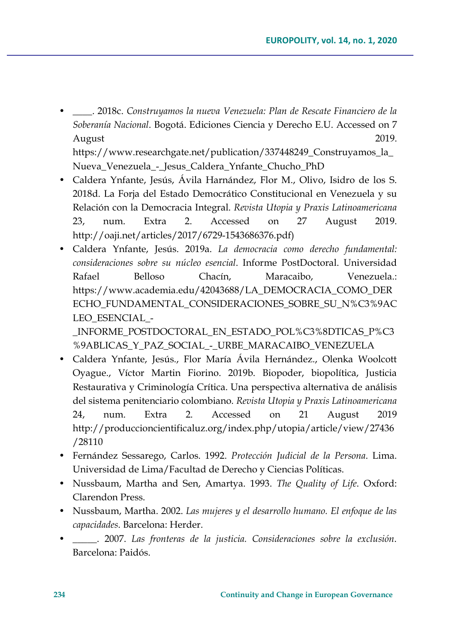• \_\_\_\_. 2018c. *Construyamos la nueva Venezuela: Plan de Rescate Financiero de la Soberanía Nacional*. Bogotá. Ediciones Ciencia y Derecho E.U. Accessed on 7 August 2019.

https://www.researchgate.net/publication/337448249\_Construyamos\_la\_ Nueva\_Venezuela\_-\_Jesus\_Caldera\_Ynfante\_Chucho\_PhD

- Caldera Ynfante, Jesús, Ávila Harnández, Flor M., Olivo, Isidro de los S. 2018d. La Forja del Estado Democrático Constitucional en Venezuela y su Relación con la Democracia Integral. *Revista Utopia y Praxis Latinoamericana* 23, num. Extra 2. Accessed on 27 August 2019. http://oaji.net/articles/2017/6729-1543686376.pdf)
- Caldera Ynfante, Jesús. 2019a. *La democracia como derecho fundamental: consideraciones sobre su núcleo esencial*. Informe PostDoctoral. Universidad Rafael Belloso Chacín, Maracaibo, Venezuela.: https://www.academia.edu/42043688/LA\_DEMOCRACIA\_COMO\_DER ECHO\_FUNDAMENTAL\_CONSIDERACIONES\_SOBRE\_SU\_N%C3%9AC LEO\_ESENCIAL\_-

INFORME\_POSTDOCTORAL\_EN\_ESTADO\_POL%C3%8DTICAS\_P%C3 %9ABLICAS Y\_PAZ\_SOCIAL - URBE\_MARACAIBO\_VENEZUELA

- Caldera Ynfante, Jesús., Flor María Ávila Hernández., Olenka Woolcott Oyague., Víctor Martin Fiorino. 2019b. Biopoder, biopolítica, Justicia Restaurativa y Criminología Crítica. Una perspectiva alternativa de análisis del sistema penitenciario colombiano. *Revista Utopia y Praxis Latinoamericana* 24, num. Extra 2. Accessed on 21 August 2019 http://produccioncientificaluz.org/index.php/utopia/article/view/27436 /28110
- Fernández Sessarego, Carlos. 1992. *Protección Judicial de la Persona*. Lima. Universidad de Lima/Facultad de Derecho y Ciencias Políticas.
- Nussbaum, Martha and Sen, Amartya. 1993. *The Quality of Life*. Oxford: Clarendon Press.
- Nussbaum, Martha. 2002. *Las mujeres y el desarrollo humano. El enfoque de las capacidades*. Barcelona: Herder.
- \_\_\_\_\_. 2007. *Las fronteras de la justicia. Consideraciones sobre la exclusión*. Barcelona: Paidós.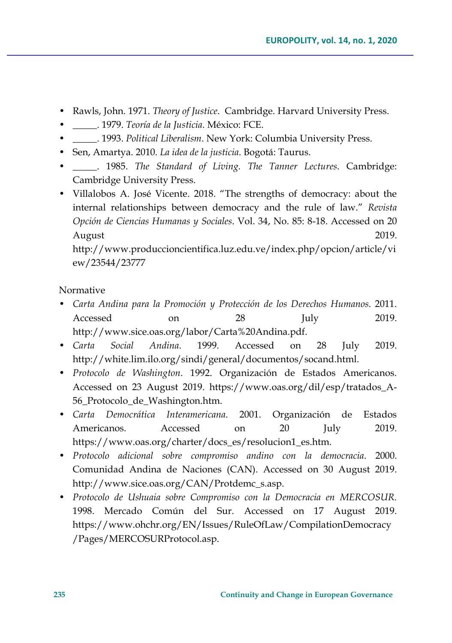- Rawls, John. 1971. *Theory of Justice*. Cambridge. Harvard University Press.
- \_\_\_\_\_. 1979. *Teoría de la Justicia*. México: FCE.
- \_\_\_\_\_. 1993. *Political Liberalism*. New York: Columbia University Press.
- Sen, Amartya. 2010. *La idea de la justicia*. Bogotá: Taurus.
- \_\_\_\_\_. 1985. *The Standard of Living. The Tanner Lectures*. Cambridge: Cambridge University Press.
- Villalobos A. José Vicente. 2018. "The strengths of democracy: about the internal relationships between democracy and the rule of law." *Revista Opción de Ciencias Humanas y Sociales*. Vol. 34, No. 85: 8-18. Accessed on 20 August 2019.

http://www.produccioncientifica.luz.edu.ve/index.php/opcion/article/vi ew/23544/23777

### Normative

- *Carta Andina para la Promoción y Protección de los Derechos Humanos*. 2011. Accessed on 28 July 2019. http://www.sice.oas.org/labor/Carta%20Andina.pdf.
- *Carta Social Andina*. 1999. Accessed on 28 July 2019. http://white.lim.ilo.org/sindi/general/documentos/socand.html.
- *Protocolo de Washington*. 1992. Organización de Estados Americanos. Accessed on 23 August 2019. https://www.oas.org/dil/esp/tratados\_A-56\_Protocolo\_de\_Washington.htm.
- *Carta Democrática Interamericana*. 2001. Organización de Estados Americanos. Accessed on 20 July 2019. https://www.oas.org/charter/docs\_es/resolucion1\_es.htm.
- *Protocolo adicional sobre compromiso andino con la democracia*. 2000. Comunidad Andina de Naciones (CAN). Accessed on 30 August 2019. http://www.sice.oas.org/CAN/Protdemc\_s.asp.
- *Protocolo de Ushuaia sobre Compromiso con la Democracia en MERCOSUR*. 1998. Mercado Común del Sur. Accessed on 17 August 2019. https://www.ohchr.org/EN/Issues/RuleOfLaw/CompilationDemocracy /Pages/MERCOSURProtocol.asp.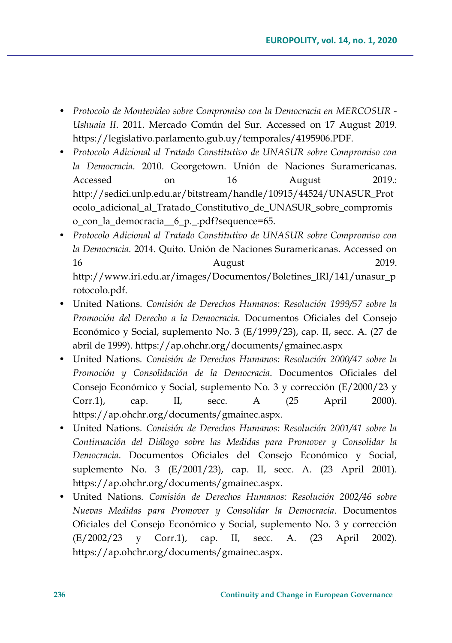- *Protocolo de Montevideo sobre Compromiso con la Democracia en MERCOSUR - Ushuaia II*. 2011. Mercado Común del Sur. Accessed on 17 August 2019. https://legislativo.parlamento.gub.uy/temporales/4195906.PDF.
- *Protocolo Adicional al Tratado Constitutivo de UNASUR sobre Compromiso con la Democracia*. 2010. Georgetown. Unión de Naciones Suramericanas. Accessed on 16 August 2019.: http://sedici.unlp.edu.ar/bitstream/handle/10915/44524/UNASUR\_Prot ocolo\_adicional\_al\_Tratado\_Constitutivo\_de\_UNASUR\_sobre\_compromis o\_con\_la\_democracia\_\_6\_p.\_.pdf?sequence=65.
- *Protocolo Adicional al Tratado Constitutivo de UNASUR sobre Compromiso con la Democracia*. 2014. Quito. Unión de Naciones Suramericanas. Accessed on 16 August 2019. http://www.iri.edu.ar/images/Documentos/Boletines\_IRI/141/unasur\_p rotocolo.pdf.
- United Nations*. Comisión de Derechos Humanos: Resolución 1999/57 sobre la Promoción del Derecho a la Democracia*. Documentos Oficiales del Consejo Económico y Social, suplemento No. 3 (E/1999/23), cap. II, secc. A. (27 de abril de 1999). https://ap.ohchr.org/documents/gmainec.aspx
- United Nations*. Comisión de Derechos Humanos: Resolución 2000/47 sobre la Promoción y Consolidación de la Democracia*. Documentos Oficiales del Consejo Económico y Social, suplemento No. 3 y corrección (E/2000/23 y Corr.1), cap. II, secc. A (25 April 2000). https://ap.ohchr.org/documents/gmainec.aspx.
- United Nations*. Comisión de Derechos Humanos: Resolución 2001/41 sobre la Continuación del Diálogo sobre las Medidas para Promover y Consolidar la Democracia*. Documentos Oficiales del Consejo Económico y Social, suplemento No. 3 (E/2001/23), cap. II, secc. A. (23 April 2001). https://ap.ohchr.org/documents/gmainec.aspx.
- United Nations*. Comisión de Derechos Humanos: Resolución 2002/46 sobre Nuevas Medidas para Promover y Consolidar la Democracia*. Documentos Oficiales del Consejo Económico y Social, suplemento No. 3 y corrección (E/2002/23 y Corr.1), cap. II, secc. A. (23 April 2002). https://ap.ohchr.org/documents/gmainec.aspx.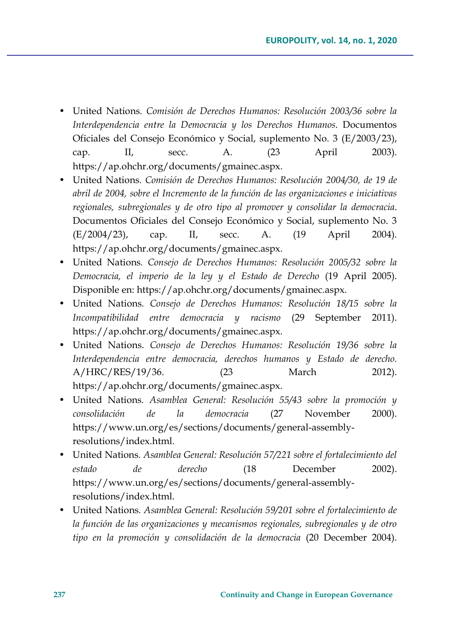- United Nations*. Comisión de Derechos Humanos: Resolución 2003/36 sobre la Interdependencia entre la Democracia y los Derechos Humanos*. Documentos Oficiales del Consejo Económico y Social, suplemento No. 3 (E/2003/23), cap. II, secc. A. (23 April 2003). https://ap.ohchr.org/documents/gmainec.aspx.
- United Nations*. Comisión de Derechos Humanos: Resolución 2004/30, de 19 de abril de 2004, sobre el Incremento de la función de las organizaciones e iniciativas regionales, subregionales y de otro tipo al promover y consolidar la democracia*. Documentos Oficiales del Consejo Económico y Social, suplemento No. 3 (E/2004/23), cap. II, secc. A. (19 April 2004). https://ap.ohchr.org/documents/gmainec.aspx.
- United Nations*. Consejo de Derechos Humanos: Resolución 2005/32 sobre la Democracia, el imperio de la ley y el Estado de Derecho* (19 April 2005). Disponible en: https://ap.ohchr.org/documents/gmainec.aspx.
- United Nations*. Consejo de Derechos Humanos: Resolución 18/15 sobre la Incompatibilidad entre democracia y racismo* (29 September 2011). https://ap.ohchr.org/documents/gmainec.aspx.
- United Nations. *Consejo de Derechos Humanos: Resolución 19/36 sobre la Interdependencia entre democracia, derechos humanos y Estado de derecho.* A/HRC/RES/19/36. (23 March 2012). https://ap.ohchr.org/documents/gmainec.aspx.
- United Nations*. Asamblea General: Resolución 55/43 sobre la promoción y consolidación de la democracia* (27 November 2000). https://www.un.org/es/sections/documents/general-assemblyresolutions/index.html.
- United Nations*. Asamblea General: Resolución 57/221 sobre el fortalecimiento del estado de derecho* (18 December 2002). https://www.un.org/es/sections/documents/general-assemblyresolutions/index.html.
- United Nations*. Asamblea General: Resolución 59/201 sobre el fortalecimiento de la función de las organizaciones y mecanismos regionales, subregionales y de otro tipo en la promoción y consolidación de la democracia* (20 December 2004).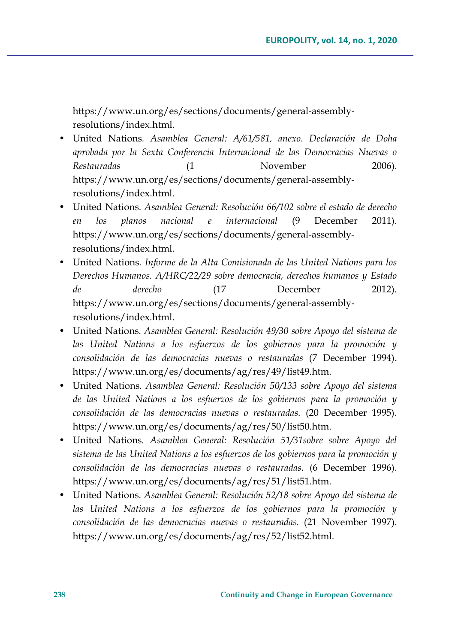https://www.un.org/es/sections/documents/general-assemblyresolutions/index.html.

- United Nations*. Asamblea General: A/61/581, anexo. Declaración de Doha aprobada por la Sexta Conferencia Internacional de las Democracias Nuevas o Restauradas* (1 November 2006). https://www.un.org/es/sections/documents/general-assemblyresolutions/index.html.
- United Nations*. Asamblea General: Resolución 66/102 sobre el estado de derecho en los planos nacional e internacional* (9 December 2011). https://www.un.org/es/sections/documents/general-assemblyresolutions/index.html.
- United Nations*. Informe de la Alta Comisionada de las United Nations para los Derechos Humanos. A/HRC/22/29 sobre democracia, derechos humanos y Estado de derecho* (17 December 2012). https://www.un.org/es/sections/documents/general-assemblyresolutions/index.html.
- United Nations*. Asamblea General: Resolución 49/30 sobre Apoyo del sistema de las United Nations a los esfuerzos de los gobiernos para la promoción y consolidación de las democracias nuevas o restauradas* (7 December 1994). https://www.un.org/es/documents/ag/res/49/list49.htm.
- United Nations*. Asamblea General: Resolución 50/133 sobre Apoyo del sistema de las United Nations a los esfuerzos de los gobiernos para la promoción y consolidación de las democracias nuevas o restauradas.* (20 December 1995). https://www.un.org/es/documents/ag/res/50/list50.htm.
- United Nations*. Asamblea General: Resolución 51/31sobre sobre Apoyo del sistema de las United Nations a los esfuerzos de los gobiernos para la promoción y consolidación de las democracias nuevas o restauradas.* (6 December 1996). https://www.un.org/es/documents/ag/res/51/list51.htm.
- United Nations*. Asamblea General: Resolución 52/18 sobre Apoyo del sistema de las United Nations a los esfuerzos de los gobiernos para la promoción y consolidación de las democracias nuevas o restauradas.* (21 November 1997). https://www.un.org/es/documents/ag/res/52/list52.html.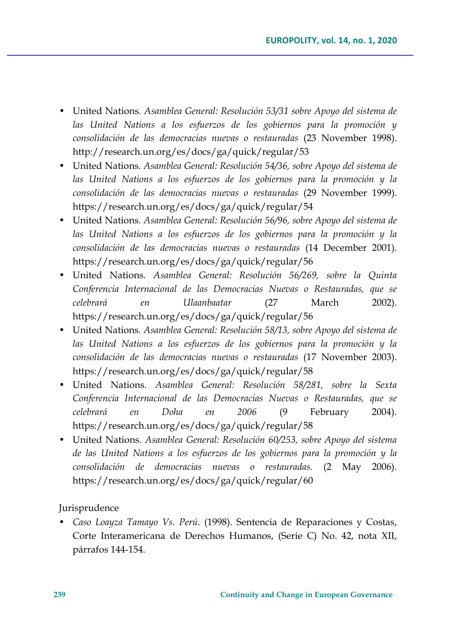- United Nations*. Asamblea General: Resolución 53/31 sobre Apoyo del sistema de las United Nations a los esfuerzos de los gobiernos para la promoción y consolidación de las democracias nuevas o restauradas* (23 November 1998). http://research.un.org/es/docs/ga/quick/regular/53
- United Nations*. Asamblea General: Resolución 54/36, sobre Apoyo del sistema de las United Nations a los esfuerzos de los gobiernos para la promoción y la consolidación de las democracias nuevas o restauradas* (29 November 1999). https://research.un.org/es/docs/ga/quick/regular/54
- United Nations*. Asamblea General: Resolución 56/96, sobre Apoyo del sistema de las United Nations a los esfuerzos de los gobiernos para la promoción y la consolidación de las democracias nuevas o restauradas* (14 December 2001). https://research.un.org/es/docs/ga/quick/regular/56
- United Nations*. Asamblea General: Resolución 56/269, sobre la Quinta Conferencia Internacional de las Democracias Nuevas o Restauradas, que se celebrará en Ulaanbaatar* (27 March 2002). https://research.un.org/es/docs/ga/quick/regular/56
- United Nations*. Asamblea General: Resolución 58/13, sobre Apoyo del sistema de las United Nations a los esfuerzos de los gobiernos para la promoción y la consolidación de las democracias nuevas o restauradas* (17 November 2003). https://research.un.org/es/docs/ga/quick/regular/58
- United Nations*. Asamblea General: Resolución 58/281, sobre la Sexta Conferencia Internacional de las Democracias Nuevas o Restauradas, que se celebrará en Doha en 2006* (9 February 2004). https://research.un.org/es/docs/ga/quick/regular/58
- United Nations*. Asamblea General: Resolución 60/253, sobre Apoyo del sistema de las United Nations a los esfuerzos de los gobiernos para la promoción y la consolidación de democracias nuevas o restauradas.* (2 May 2006). https://research.un.org/es/docs/ga/quick/regular/60

Jurisprudence

• *Caso Loayza Tamayo Vs. Perú*. (1998). Sentencia de Reparaciones y Costas, Corte Interamericana de Derechos Humanos, (Serie C) No. 42, nota XII, párrafos 144-154.